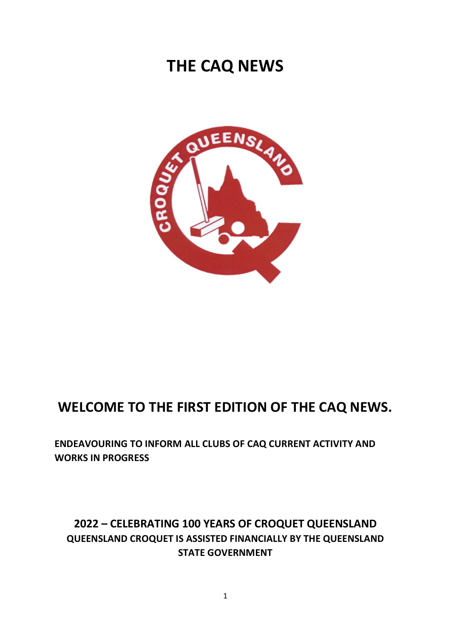# **THE CAQ NEWS**



# **WELCOME TO THE FIRST EDITION OF THE CAQ NEWS.**

**ENDEAVOURING TO INFORM ALL CLUBS OF CAQ CURRENT ACTIVITY AND WORKS IN PROGRESS**

# **2022 – CELEBRATING 100 YEARS OF CROQUET QUEENSLAND QUEENSLAND CROQUET IS ASSISTED FINANCIALLY BY THE QUEENSLAND STATE GOVERNMENT**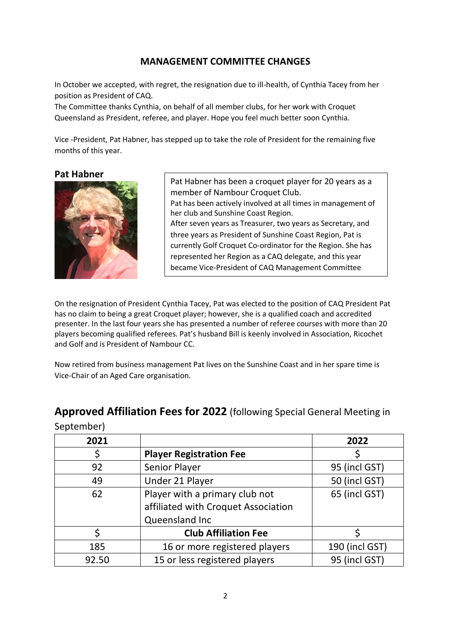#### **MANAGEMENT COMMITTEE CHANGES**

In October we accepted, with regret, the resignation due to ill-health, of Cynthia Tacey from her position as President of CAQ.

The Committee thanks Cynthia, on behalf of all member clubs, for her work with Croquet Queensland as President, referee, and player. Hope you feel much better soon Cynthia.

Vice -President, Pat Habner, has stepped up to take the role of President for the remaining five months of this year.

**Pat Habner**

September)



Pat Habner has been a croquet player for 20 years as a member of Nambour Croquet Club. Pat has been actively involved at all times in management of her club and Sunshine Coast Region. After seven years as Treasurer, two years as Secretary, and three years as President of Sunshine Coast Region, Pat is currently Golf Croquet Co-ordinator for the Region. She has represented her Region as a CAQ delegate, and this year became Vice-President of CAQ Management Committee

On the resignation of President Cynthia Tacey, Pat was elected to the position of CAQ President Pat has no claim to being a great Croquet player; however, she is a qualified coach and accredited presenter. In the last four years she has presented a number of referee courses with more than 20 players becoming qualified referees. Pat's husband Bill is keenly involved in Association, Ricochet and Golf and is President of Nambour CC.

Now retired from business management Pat lives on the Sunshine Coast and in her spare time is Vice-Chair of an Aged Care organisation.

| 2021  |                                     | 2022           |
|-------|-------------------------------------|----------------|
|       | <b>Player Registration Fee</b>      |                |
| 92    | Senior Player                       | 95 (incl GST)  |
| 49    | Under 21 Player                     | 50 (incl GST)  |
| 62    | Player with a primary club not      | 65 (incl GST)  |
|       | affiliated with Croquet Association |                |
|       | Queensland Inc                      |                |
|       | <b>Club Affiliation Fee</b>         |                |
| 185   | 16 or more registered players       | 190 (incl GST) |
| 92.50 | 15 or less registered players       | 95 (incl GST)  |

## **Approved Affiliation Fees for 2022** (following Special General Meeting in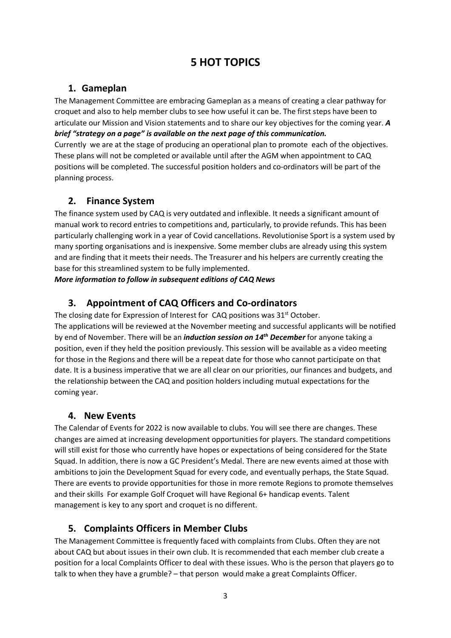# **5 HOT TOPICS**

## **1. Gameplan**

The Management Committee are embracing Gameplan as a means of creating a clear pathway for croquet and also to help member clubs to see how useful it can be. The first steps have been to articulate our Mission and Vision statements and to share our key objectives for the coming year. *A brief "strategy on a page" is available on the next page of this communication.*

Currently we are at the stage of producing an operational plan to promote each of the objectives. These plans will not be completed or available until after the AGM when appointment to CAQ positions will be completed. The successful position holders and co-ordinators will be part of the planning process.

### **2. Finance System**

The finance system used by CAQ is very outdated and inflexible. It needs a significant amount of manual work to record entries to competitions and, particularly, to provide refunds. This has been particularly challenging work in a year of Covid cancellations. Revolutionise Sport is a system used by many sporting organisations and is inexpensive. Some member clubs are already using this system and are finding that it meets their needs. The Treasurer and his helpers are currently creating the base for this streamlined system to be fully implemented.

*More information to follow in subsequent editions of CAQ News*

## **3. Appointment of CAQ Officers and Co-ordinators**

The closing date for Expression of Interest for CAQ positions was 31<sup>st</sup> October. The applications will be reviewed at the November meeting and successful applicants will be notified by end of November. There will be an *induction session on 14th December* for anyone taking a position, even if they held the position previously. This session will be available as a video meeting for those in the Regions and there will be a repeat date for those who cannot participate on that date. It is a business imperative that we are all clear on our priorities, our finances and budgets, and the relationship between the CAQ and position holders including mutual expectations for the coming year.

#### **4. New Events**

The Calendar of Events for 2022 is now available to clubs. You will see there are changes. These changes are aimed at increasing development opportunities for players. The standard competitions will still exist for those who currently have hopes or expectations of being considered for the State Squad. In addition, there is now a GC President's Medal. There are new events aimed at those with ambitions to join the Development Squad for every code, and eventually perhaps, the State Squad. There are events to provide opportunities for those in more remote Regions to promote themselves and their skills For example Golf Croquet will have Regional 6+ handicap events. Talent management is key to any sport and croquet is no different.

## **5. Complaints Officers in Member Clubs**

The Management Committee is frequently faced with complaints from Clubs. Often they are not about CAQ but about issues in their own club. It is recommended that each member club create a position for a local Complaints Officer to deal with these issues. Who is the person that players go to talk to when they have a grumble? – that person would make a great Complaints Officer.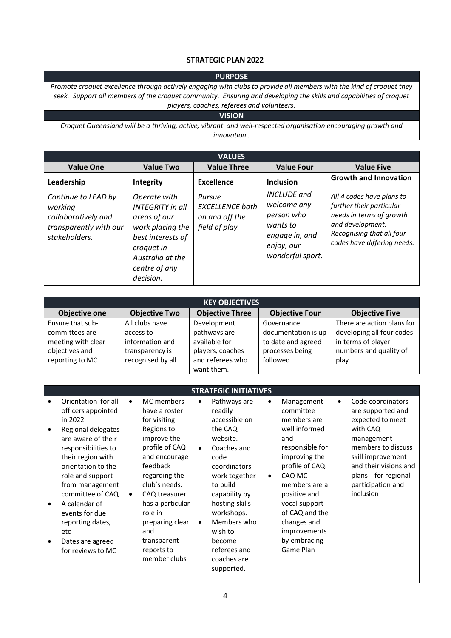#### **STRATEGIC PLAN 2022**

#### **PURPOSE**

*Promote croquet excellence through actively engaging with clubs to provide all members with the kind of croquet they seek. Support all members of the croquet community. Ensuring and developing the skills and capabilities of croquet players, coaches, referees and volunteers.*

#### **VISION**

*Croquet Queensland will be a thriving, active, vibrant and well-respected organisation encouraging growth and innovation .*

| <b>VALUES</b>                                                                                    |                                                                                                                                                                  |                                                                      |                                                                                                                 |                                                                                                                                                                   |  |  |
|--------------------------------------------------------------------------------------------------|------------------------------------------------------------------------------------------------------------------------------------------------------------------|----------------------------------------------------------------------|-----------------------------------------------------------------------------------------------------------------|-------------------------------------------------------------------------------------------------------------------------------------------------------------------|--|--|
| <b>Value One</b>                                                                                 | <b>Value Two</b>                                                                                                                                                 | <b>Value Three</b>                                                   | <b>Value Four</b>                                                                                               | <b>Value Five</b>                                                                                                                                                 |  |  |
| Leadership                                                                                       | Integrity                                                                                                                                                        | Excellence                                                           | <b>Inclusion</b>                                                                                                | <b>Growth and Innovation</b>                                                                                                                                      |  |  |
| Continue to LEAD by<br>working<br>collaboratively and<br>transparently with our<br>stakeholders. | Operate with<br><b>INTEGRITY</b> in all<br>areas of our<br>work placing the<br>best interests of<br>croquet in<br>Australia at the<br>centre of any<br>decision. | Pursue<br><b>EXCELLENCE</b> both<br>on and off the<br>field of play. | <b>INCLUDE</b> and<br>welcome any<br>person who<br>wants to<br>engage in, and<br>enjoy, our<br>wonderful sport. | All 4 codes have plans to<br>further their particular<br>needs in terms of growth<br>and development.<br>Recognising that all four<br>codes have differing needs. |  |  |

| <b>KEY OBJECTIVES</b> |                      |                        |                       |                            |  |  |
|-----------------------|----------------------|------------------------|-----------------------|----------------------------|--|--|
| <b>Objective one</b>  | <b>Objective Two</b> | <b>Objective Three</b> | <b>Objective Four</b> | <b>Objective Five</b>      |  |  |
| Ensure that sub-      | All clubs have       | Development            | Governance            | There are action plans for |  |  |
| committees are        | access to            | pathways are           | documentation is up   | developing all four codes  |  |  |
| meeting with clear    | information and      | available for          | to date and agreed    | in terms of player         |  |  |
| objectives and        | transparency is      | players, coaches       | processes being       | numbers and quality of     |  |  |
| reporting to MC       | recognised by all    | and referees who       | followed              | play                       |  |  |
|                       |                      | want them.             |                       |                            |  |  |

| <b>STRATEGIC INITIATIVES</b>                                                                                                                                                                                                                                                                                                         |                        |                                                                                                                                                                                                                                                                                  |                                     |                                                                                                                                                                                                                                                                       |                        |                                                                                                                                                                                                                                                                 |           |                                                                                                                                                                                                                  |
|--------------------------------------------------------------------------------------------------------------------------------------------------------------------------------------------------------------------------------------------------------------------------------------------------------------------------------------|------------------------|----------------------------------------------------------------------------------------------------------------------------------------------------------------------------------------------------------------------------------------------------------------------------------|-------------------------------------|-----------------------------------------------------------------------------------------------------------------------------------------------------------------------------------------------------------------------------------------------------------------------|------------------------|-----------------------------------------------------------------------------------------------------------------------------------------------------------------------------------------------------------------------------------------------------------------|-----------|------------------------------------------------------------------------------------------------------------------------------------------------------------------------------------------------------------------|
| Orientation for all<br>officers appointed<br>in 2022<br>Regional delegates<br>are aware of their<br>responsibilities to<br>their region with<br>orientation to the<br>role and support<br>from management<br>committee of CAQ<br>A calendar of<br>events for due<br>reporting dates,<br>etc<br>Dates are agreed<br>for reviews to MC | $\bullet$<br>$\bullet$ | MC members<br>have a roster<br>for visiting<br>Regions to<br>improve the<br>profile of CAQ<br>and encourage<br>feedback<br>regarding the<br>club's needs.<br>CAQ treasurer<br>has a particular<br>role in<br>preparing clear<br>and<br>transparent<br>reports to<br>member clubs | $\bullet$<br>$\bullet$<br>$\bullet$ | Pathways are<br>readily<br>accessible on<br>the CAQ<br>website.<br>Coaches and<br>code<br>coordinators<br>work together<br>to build<br>capability by<br>hosting skills<br>workshops.<br>Members who<br>wish to<br>become<br>referees and<br>coaches are<br>supported. | $\bullet$<br>$\bullet$ | Management<br>committee<br>members are<br>well informed<br>and<br>responsible for<br>improving the<br>profile of CAQ.<br>CAQ MC<br>members are a<br>positive and<br>vocal support<br>of CAQ and the<br>changes and<br>improvements<br>by embracing<br>Game Plan | $\bullet$ | Code coordinators<br>are supported and<br>expected to meet<br>with CAQ<br>management<br>members to discuss<br>skill improvement<br>and their visions and<br>plans for regional<br>participation and<br>inclusion |
|                                                                                                                                                                                                                                                                                                                                      |                        |                                                                                                                                                                                                                                                                                  |                                     |                                                                                                                                                                                                                                                                       |                        |                                                                                                                                                                                                                                                                 |           |                                                                                                                                                                                                                  |